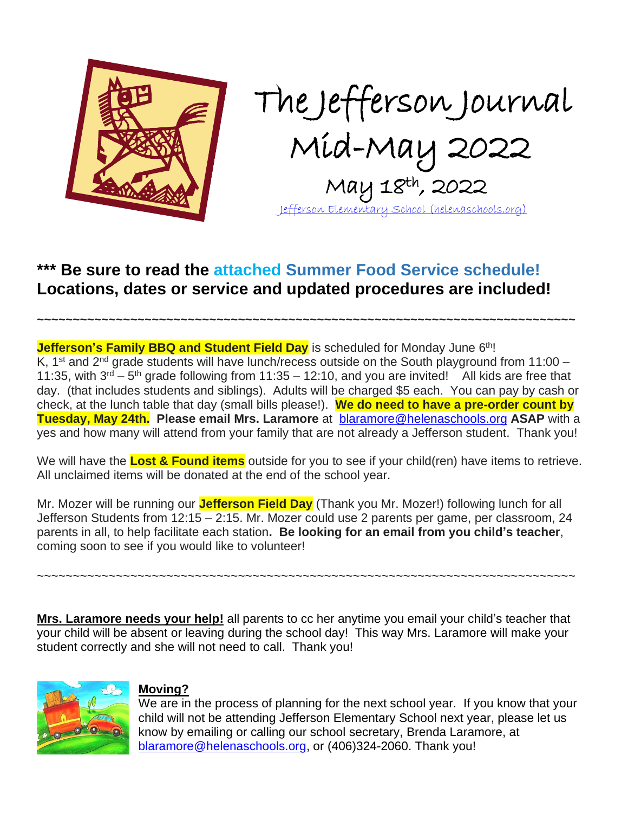

The Jefferson Journal Mid-May 2022 May 18th , 2022 [Jefferson Elementary School \(helenaschools.org\)](https://jefferson.helenaschools.org/)

## **\*\*\* Be sure to read the attached Summer Food Service schedule! Locations, dates or service and updated procedures are included!**

**Jefferson's Family BBQ and Student Field Day** is scheduled for Monday June 6<sup>th</sup>! K, 1<sup>st</sup> and 2<sup>nd</sup> grade students will have lunch/recess outside on the South playground from 11:00 – 11:35, with  $3^{rd}$  – 5<sup>th</sup> grade following from 11:35 – 12:10, and you are invited! All kids are free that day. (that includes students and siblings). Adults will be charged \$5 each. You can pay by cash or check, at the lunch table that day (small bills please!). **We do need to have a pre-order count by Tuesday, May 24th. Please email Mrs. Laramore** at [blaramore@helenaschools.org](mailto:blaramore@helenaschools.org) **ASAP** with a yes and how many will attend from your family that are not already a Jefferson student. Thank you!

**~~~~~~~~~~~~~~~~~~~~~~~~~~~~~~~~~~~~~~~~~~~~~~~~~~~~~~~~~~~~~~~~~~~~~~~~~~~**

We will have the **Lost & Found items** outside for you to see if your child(ren) have items to retrieve. All unclaimed items will be donated at the end of the school year.

Mr. Mozer will be running our **Jefferson Field Day** (Thank you Mr. Mozer!) following lunch for all Jefferson Students from 12:15 – 2:15. Mr. Mozer could use 2 parents per game, per classroom, 24 parents in all, to help facilitate each station**. Be looking for an email from you child's teacher**, coming soon to see if you would like to volunteer!

~~~~~~~~~~~~~~~~~~~~~~~~~~~~~~~~~~~~~~~~~~~~~~~~~~~~~~~~~~~~~~~~~~~~~~~~~~~

**Mrs. Laramore needs your help!** all parents to cc her anytime you email your child's teacher that your child will be absent or leaving during the school day! This way Mrs. Laramore will make your student correctly and she will not need to call. Thank you!



### **Moving?**

We are in the process of planning for the next school year. If you know that your child will not be attending Jefferson Elementary School next year, please let us know by emailing or calling our school secretary, Brenda Laramore, at [blaramore@helenaschools.org,](mailto:blaramore@helenaschools.org) or (406)324-2060. Thank you!